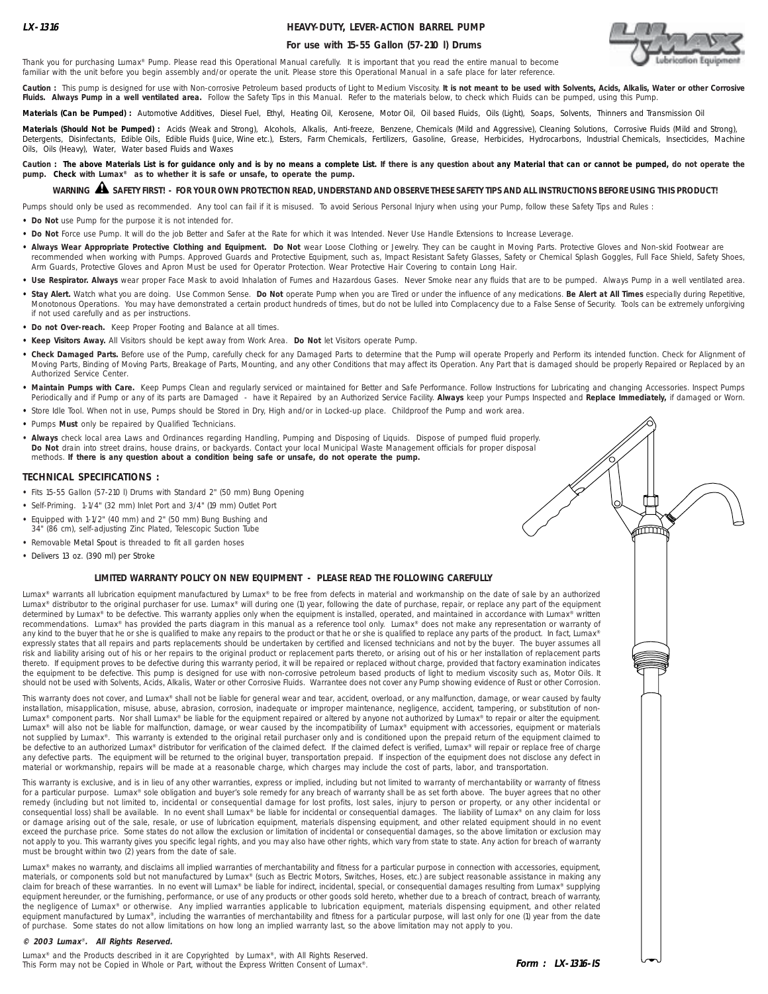## **HEAVY-DUTY, LEVER-ACTION BARREL PUMP**

## **For use with 15-55 Gallon (57-210 l) Drums**



í

Thank you for purchasing Lumax® Pump. Please read this Operational Manual carefully. It is important that you read the entire manual to become familiar with the unit before you begin assembly and/or operate the unit. Please store this Operational Manual in a safe place for later reference.

Caution : This pump is designed for use with Non-corrosive Petroleum based products of Light to Medium Viscosity. It is not meant to be used with Solvents, Acids, Alkalis, Water or other Corrosive **Fluids. Always Pump in a well ventilated area.** Follow the Safety Tips in this Manual. Refer to the materials below, to check which Fluids can be pumped, using this Pump.

**Materials (Can be Pumped) :** Automotive Additives, Diesel Fuel, Ethyl, Heating Oil, Kerosene, Motor Oil, Oil based Fluids, Oils (Light), Soaps, Solvents, Thinners and Transmission Oil

Materials (Should Not be Pumped) : Acids (Weak and Strong), Alcohols, Alkalis, Anti-freeze, Benzene, Chemicals (Mild and Aggressive), Cleaning Solutions, Corrosive Fluids (Mild and Strong), Detergents, Disinfectants, Edible Oils, Edible Fluids (Juice, Wine etc.), Esters, Farm Chemicals, Fartilizers, Gasoline, Grease, Herbicides, Hydrocarbons, Industrial Chemicals, Insecticides, Machine Oils, Oils (Heavy), Water, Water based Fluids and Waxes

Caution : The above Materials List is for guidance only and is by no means a complete List. If there is any question about any Material that can or cannot be pumped, do not operate the **pump. Check with Lumax® as to whether it is safe or unsafe, to operate the pump.**

# **WARNING SAFETY FIRST! - FOR YOUR OWN PROTECTION READ, UNDERSTAND AND OBSERVE THESE SAFETY TIPS AND ALL INSTRUCTIONS BEFORE USING THIS PRODUCT!** !

Pumps should only be used as recommended. Any tool can fail if it is misused. To avoid Serious Personal Injury when using your Pump, follow these Safety Tips and Rules :

**• Do Not** use Pump for the purpose it is not intended for.

- **• Do Not** Force use Pump. It will do the job Better and Safer at the Rate for which it was Intended. Never Use Handle Extensions to Increase Leverage.
- . Always Wear Appropriate Protective Clothing and Equipment. Do Not wear Loose Clothing or Jewelry. They can be caught in Moving Parts. Protective Gloves and Non-skid Footwear are recommended when working with Pumps. Approved Guards and Protective Equipment, such as, Impact Resistant Safety Glasses, Safety or Chemical Splash Goggles, Full Face Shield, Safety Shoes, Arm Guards, Protective Gloves and Apron Must be used for Operator Protection. Wear Protective Hair Covering to contain Long Hair.
- Use Respirator. Always wear proper Face Mask to avoid Inhalation of Fumes and Hazardous Gases. Never Smoke near any fluids that are to be pumped. Always Pump in a well ventilated area. **• Stay Alert.** Watch what you are doing. Use Common Sense. **Do Not** operate Pump when you are Tired or under the influence of any medications. **Be Alert at All Times** especially during Repetitive, Monotonous Operations. You may have demonstrated a certain product hundreds of times, but do not be lulled into Complacency due to a False Sense of Security. Tools can be extremely unforgiving if not used carefully and as per instructions.
- **• Do not Over-reach.** Keep Proper Footing and Balance at all times.
- **• Keep Visitors Away.** All Visitors should be kept away from Work Area. **Do Not** let Visitors operate Pump.
- **• Check Damaged Parts.** Before use of the Pump, carefully check for any Damaged Parts to determine that the Pump will operate Properly and Perform its intended function. Check for Alignment of Moving Parts, Binding of Moving Parts, Breakage of Parts, Mounting, and any other Conditions that may affect its Operation. Any Part that is damaged should be properly Repaired or Replaced by an Authorized Service Center.
- **• Maintain Pumps with Care.** Keep Pumps Clean and regularly serviced or maintained for Better and Safe Performance. Follow Instructions for Lubricating and changing Accessories. Inspect Pumps Periodically and if Pump or any of its parts are Damaged - have it Repaired by an Authorized Service Facility. **Always** keep your Pumps Inspected and **Replace Immediately,** if damaged or Worn.
- **•** Store Idle Tool. When not in use, Pumps should be Stored in Dry, High and/or in Locked-up place. Childproof the Pump and work area.
- **•** Pumps **Must** only be repaired by Qualified Technicians.
- **Always** check local area Laws and Ordinances regarding Handling, Pumping and Disposing of Liquids. Dispose of pumped fluid properly. **Do Not** drain into street drains, house drains, or backyards. Contact your local Municipal Waste Management officials for proper disposal methods. **If there is any question about a condition being safe or unsafe, do not operate the pump.**

### **TECHNICAL SPECIFICATIONS :**

- **•** Fits 15-55 Gallon (57-210 l) Drums with Standard 2" (50 mm) Bung Opening
- **•** Self-Priming. 1-1/4" (32 mm) Inlet Port and 3/4" (19 mm) Outlet Port
- **•** Equipped with 1-1/2" (40 mm) and 2" (50 mm) Bung Bushing and 34" (86 cm), self-adjusting Zinc Plated, Telescopic Suction Tube
- **•** Removable Metal Spout is threaded to fit all garden hoses
- **•** Delivers 13 oz. (390 ml) per Stroke

### **LIMITED WARRANTY POLICY ON NEW EQUIPMENT - PLEASE READ THE FOLLOWING CAREFULLY**

Lumax® warrants all lubrication equipment manufactured by Lumax® to be free from defects in material and workmanship on the date of sale by an authorized Lumax® distributor to the original purchaser for use. Lumax® will during one (1) year, following the date of purchase, repair, or replace any part of the equipment determined by Lumax® to be defective. This warranty applies only when the equipment is installed, operated, and maintained in accordance with Lumax® written recommendations. Lumax® has provided the parts diagram in this manual as a reference tool only. Lumax® does not make any representation or warranty of<br>any kind to the buyer that he or she is qualified to make any repairs t expressly states that all repairs and parts replacements should be undertaken by certified and licensed technicians and not by the buyer. The buyer assumes all risk and liability arising out of his or her repairs to the original product or replacement parts thereto, or arising out of his or her installation of replacement parts thereto. If equipment proves to be defective during this warranty period, it will be repaired or replaced without charge, provided that factory examination indicates the equipment to be defective. This pump is designed for use with non-corrosive petroleum based products of light to medium viscosity such as, Motor Oils. It should not be used with Solvents, Acids, Alkalis, Water or other Corrosive Fluids. Warrantee does not cover any Pump showing evidence of Rust or other Corrosion.

This warranty does not cover, and Lumax® shall not be liable for general wear and tear, accident, overload, or any malfunction, damage, or wear caused by faulty installation, misapplication, misuse, abuse, abrasion, corrosion, inadequate or improper maintenance, negligence, accident, tampering, or substitution of non-Lumax® component parts. Nor shall Lumax® be liable for the equipment repaired or altered by anyone not authorized by Lumax® to repair or alter the equipment. Lumax® will also not be liable for malfunction, damage, or wear caused by the incompatibility of Lumax® equipment with accessories, equipment or materials not supplied by Lumax®. This warranty is extended to the original retail purchaser only and is conditioned upon the prepaid return of the equipment claimed to be defective to an authorized Lumax® distributor for verification of the claimed defect. If the claimed defect is verified, Lumax® will repair or replace free of charge any defective parts. The equipment will be returned to the original buyer, transportation prepaid. If inspection of the equipment does not disclose any defect in material or workmanship, repairs will be made at a reasonable charge, which charges may include the cost of parts, labor, and transportation.

This warranty is exclusive, and is in lieu of any other warranties, express or implied, including but not limited to warranty of merchantability or warranty of fitness for a particular purpose. Lumax® sole obligation and buyer's sole remedy for any breach of warranty shall be as set forth above. The buyer agrees that no other remedy (including but not limited to, incidental or consequential damage for lost profits, lost sales, injury to person or property, or any other incidental or consequential loss) shall be available. In no event shall Lumax® be liable for incidental or consequential damages. The liability of Lumax® on any claim for loss or damage arising out of the sale, resale, or use of lubrication equipment, materials dispensing equipment, and other related equipment should in no event exceed the purchase price. Some states do not allow the exclusion or limitation of incidental or consequential damages, so the above limitation or exclusion may not apply to you. This warranty gives you specific legal rights, and you may also have other rights, which vary from state to state. Any action for breach of warranty must be brought within two (2) years from the date of sale.

Lumax® makes no warranty, and disclaims all implied warranties of merchantability and fitness for a particular purpose in connection with accessories, equipment, materials, or components sold but not manufactured by Lumax® (such as Electric Motors, Switches, Hoses, etc.) are subject reasonable assistance in making any claim for breach of these warranties. In no event will Lumax® be liable for indirect, incidental, special, or consequential damages resulting from Lumax® supplying equipment hereunder, or the furnishing, performance, or use of any products or other goods sold hereto, whether due to a breach of contract, breach of warranty, the negligence of Lumax® or otherwise. Any implied warranties applicable to lubrication equipment, materials dispensing equipment, and other related equipment manufactured by Lumax®, including the warranties of merchantability and fitness for a particular purpose, will last only for one (1) year from the date of purchase. Some states do not allow limitations on how long an implied warranty last, so the above limitation may not apply to you.

#### **© 2003 Lumax**® **. All Rights Reserved.**

Lumax<sup>®</sup> and the Products described in it are Copyrighted by Lumax<sup>®</sup>, with All Rights Reserved. This Form may not be Copied in Whole or Part, without the Express Written Consent of Lumax®.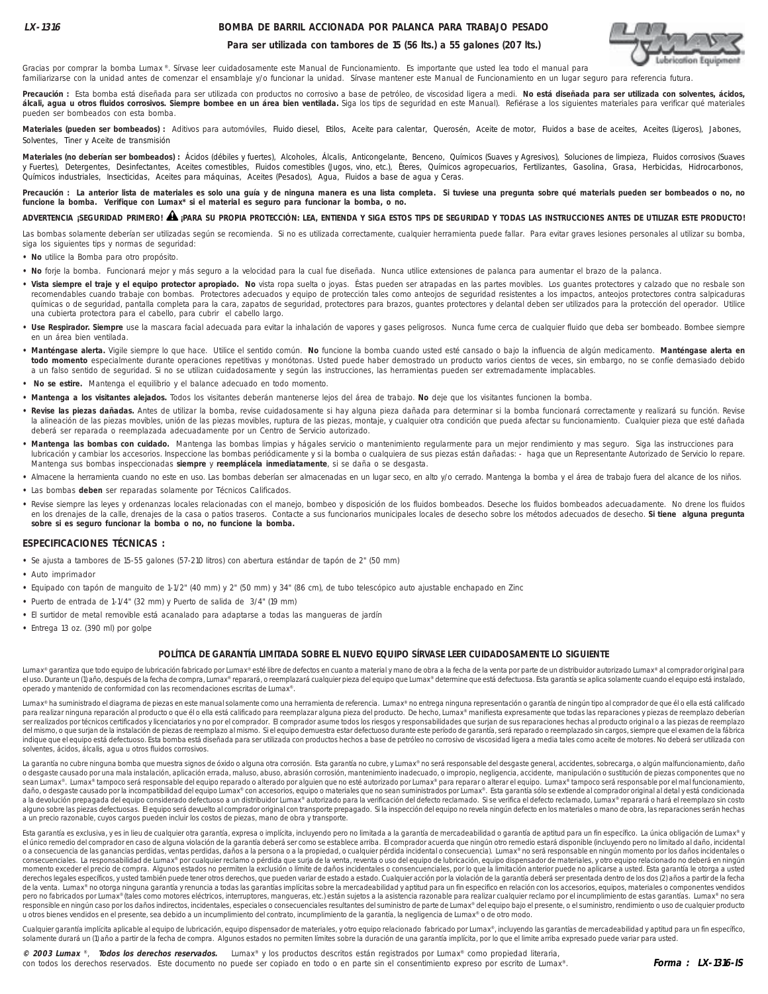## **BOMBA DE BARRIL ACCIONADA POR PALANCA PARA TRABAJO PESADO**



### **Para ser utilizada con tambores de 15 (56 lts.) a 55 galones (207 lts.)**

Gracias por comprar la bomba Lumax ®. Sírvase leer cuidadosamente este Manual de Funcionamiento. Es importante que usted lea todo el manual para familiarizarse con la unidad antes de comenzar el ensamblaje y/o funcionar la unidad. Sírvase mantener este Manual de Funcionamiento en un lugar seguro para referencia futura.

Precaución : Esta bomba está diseñada para ser utilizada con productos no corrosivo a base de petróleo, de viscosidad ligera a medi. No está diseñada para ser utilizada con solventes, ácidos, álcali, agua u otros fluidos corrosivos. Siempre bombee en un área bien ventilada. Siga los tips de seguridad en este Manual). Refiérase a los siguientes materiales para verificar qué materiales pueden ser bombeados con esta bomba.

Materiales (pueden ser bombeados) : Aditivos para automóviles, Fluido diesel, Etilos, Aceite para calentar, Querosén, Aceite de motor, Fluidos a base de aceites, Aceites (Ligeros), Jabones, Solventes, Tiner y Aceite de transmisión

Materiales (no deberían ser bombeados) : Ácidos (débiles y fuertes), Alcoholes, Álcalis, Anticongelante, Benceno, Químicos (Suaves y Agresivos), Soluciones de limpieza, Fluidos corrosivos (Suaves<br>y Fuertes), Detergentes, D Químicos industriales, Insecticidas, Aceites para máquinas, Aceites (Pesados), Agua, Fluidos a base de agua y Ceras.

**Precaución : La anterior lista de materiales es solo una guía y de ninguna manera es una lista completa. Si tuviese una pregunta sobre qué materials pueden ser bombeados o no, no funcione la bomba. Verifique con Lumax\* si el material es seguro para funcionar la bomba, o no.**

## **ADVERTENCIA ¡SEGURIDAD PRIMERO! ¡PARA SU PROPIA PROTECCIÓN: LEA, ENTIENDA Y SIGA ESTOS TIPS DE SEGURIDAD Y TODAS LAS INSTRUCCIONES ANTES DE UTILIZAR ESTE PRODUCTO!** !

Las bombas solamente deberían ser utilizadas según se recomienda. Si no es utilizada correctamente, cualquier herramienta puede fallar. Para evitar graves lesiones personales al utilizar su bomba, siga los siguientes tips y normas de seguridad:

- **No** utilice la Bomba para otro propósito.
- **No** forje la bomba. Funcionará mejor y más seguro a la velocidad para la cual fue diseñada. Nunca utilice extensiones de palanca para aumentar el brazo de la palanca.
- **Vista siempre el traje y el equipo protector apropiado. No** vista ropa suelta o joyas. Éstas pueden ser atrapadas en las partes movibles. Los guantes protectores y calzado que no resbale son recomendables cuando trabaje con bombas. Protectores adecuados y equipo de protección tales como anteojos de seguridad resistentes a los impactos, anteojos protectores contra salpicaduras químicas o de seguridad, pantalla completa para la cara, zapatos de seguridad, protectores para brazos, guantes protectores y delantal deben ser utilizados para la protección del operador. Utilice una cubierta protectora para el cabello, para cubrir el cabello largo.
- · Use Respirador. Siempre use la mascara facial adecuada para evitar la inhalación de vapores y gases peligrosos. Nunca fume cerca de cualquier fluido que deba ser bombeado. Bombee siempre en un área bien ventilada.
- **Manténgase alerta.** Vigile siempre lo que hace. Utilice el sentido común. **No** funcione la bomba cuando usted esté cansado o bajo la influencia de algún medicamento. **Manténgase alerta en todo momento** especialmente durante operaciones repetitivas y monótonas. Usted puede haber demostrado un producto varios cientos de veces, sin embargo, no se confíe demasiado debido a un falso sentido de seguridad. Si no se utilizan cuidadosamente y según las instrucciones, las herramientas pueden ser extremadamente implacables.
- **No se estire.** Mantenga el equilibrio y el balance adecuado en todo momento.
- **Mantenga a los visitantes alejados.** Todos los visitantes deberán mantenerse lejos del área de trabajo. **No** deje que los visitantes funcionen la bomba.
- **Revise las piezas dañadas.** Antes de utilizar la bomba, revise cuidadosamente si hay alguna pieza dañada para determinar si la bomba funcionará correctamente y realizará su función. Revise la alineación de las piezas movibles, unión de las piezas movibles, ruptura de las piezas, montaje, y cualquier otra condición que pueda afectar su funcionamiento. Cualquier pieza que esté dañada deberá ser reparada o reemplazada adecuadamente por un Centro de Servicio autorizado.
- **Mantenga las bombas con cuidado.** Mantenga las bombas limpias y hágales servicio o mantenimiento regularmente para un mejor rendimiento y mas seguro. Siga las instrucciones para lubricación y cambiar los accesorios. Inspeccione las bombas periódicamente y si la bomba o cualquiera de sus piezas están dañadas: - haga que un Representante Autorizado de Servicio lo repare. Mantenga sus bombas inspeccionadas **siempre** y **reemplácela inmediatamente**, si se daña o se desgasta.
- **•** Almacene la herramienta cuando no este en uso. Las bombas deberían ser almacenadas en un lugar seco, en alto y/o cerrado. Mantenga la bomba y el área de trabajo fuera del alcance de los niños.
- **•** Las bombas **deben** ser reparadas solamente por Técnicos Calificados.
- **•** Revise siempre las leyes y ordenanzas locales relacionadas con el manejo, bombeo y disposición de los fluidos bombeados. Deseche los fluidos bombeados adecuadamente. No drene los fluidos en los drenajes de la calle, drenajes de la casa o patios traseros. Contacte a sus funcionarios municipales locales de desecho sobre los métodos adecuados de desecho. **Si tiene alguna pregunta sobre si es seguro funcionar la bomba o no, no funcione la bomba.**

### **ESPECIFICACIONES TÉCNICAS :**

- **•** Se ajusta a tambores de 15-55 galones (57-210 litros) con abertura estándar de tapón de 2" (50 mm)
- **•** Auto imprimador
- **•** Equipado con tapón de manguito de 1-1/2" (40 mm) y 2" (50 mm) y 34" (86 cm), de tubo telescópico auto ajustable enchapado en Zinc
- **•** Puerto de entrada de 1-1/4" (32 mm) y Puerto de salida de 3/4" (19 mm)
- **•** El surtidor de metal removible está acanalado para adaptarse a todas las mangueras de jardín
- **•** Entrega 13 oz. (390 ml) por golpe

### **POLÍTICA DE GARANTÍA LIMITADA SOBRE EL NUEVO EQUIPO SÍRVASE LEER CUIDADOSAMENTE LO SIGUIENTE**

Lumax® garantiza que todo equipo de lubricación fabricado por Lumax® esté libre de defectos en cuanto a material y mano de obra a la fecha de la venta por parte de un distribuidor autorizado Lumax® al comprador original pa el uso. Durante un (1) año, después de la fecha de compra, Lumax® reparará, o reemplazará cualquier pieza del equipo que Lumax® determine que está defectuosa. Esta garantía se aplica solamente cuando el equipo está instala operado y mantenido de conformidad con las recomendaciones escritas de Lumax®.

Lumax® ha suministrado el diagrama de piezas en este manual solamente como una herramienta de referencia. Lumax® no entrega ninguna representación o garantía de ningún tipo al comprador de que él o ella está calificado para realizar ninguna reparación al producto o que él o ella está calificado para reemplazar alguna pieza del producto. De hecho, Lumax® manifiesta expresamente que todas las reparaciones y piezas de reemplazo deberían ser realizados por técnicos certificados y licenciatarios y no por el comprador. El comprador asume todos los riesgos y responsabilidades que surjan de sus reparaciones hechas al producto original o a las piezas de reemplazo del mismo, o que surjan de la instalación de piezas de reemplazo al mismo. Si el equipo demuestra estar defectuoso durante este período de garantía, será reparado o reemplazado sin cargos, siempre que el examen de la fábrica indique que el equipo está defectuoso. Esta bomba está diseñada para ser utilizada con productos hechos a base de petróleo no corrosivo de viscosidad ligera a media tales como aceite de motores. No deberá ser utilizada con solventes, ácidos, álcalis, agua u otros fluidos corrosivos.

La garantía no cubre ninguna bomba que muestra signos de óxido o alguna otra corrosión. Esta garantía no cubre, y Lumax® no será responsable del desgaste general, accidentes, sobrecarga, o algún malfuncionamiento, daño o desgaste causado por una mala instalación, aplicación errada, maluso, abuso, abrasión corrosión, mantenimiento inadecuado, o impropio, negligencia, accidente, manipulación o sustitución de piezas componentes que no sean Lumax®. Lumax® tampoco será responsable del equipo reparado o alterado por alguien que no esté autorizado por Lumax® para reparar o alterar el equipo. Lumax® tampoco será responsable por el mal funcionamiento, daño, o desgaste causado por la incompatibilidad del equipo Lumax® con accesorios, equipo o materiales que no sean suministrados por Lumax®. Esta garantía sólo se extiende al comprador original al detal y está condicionad a un precio razonable, cuyos cargos pueden incluir los costos de piezas, mano de obra y transporte.

Esta garantía es exclusiva, y es in lieu de cualquier otra garantía, expresa o implícita, incluyendo pero no limitada a la garantía de mercadeabilidad o garantía de aptitud para un fin específico. La única obligación de Lu el único remedio del comprador en caso de alguna violación de la garantía deberá ser como se establece arriba. El comprador acuerda que ningún otro remedio estará disponible (incluyendo pero no limitado al daño, incidental o a consecuencia de las ganancias perdidas, ventas perdidas, daños a la persona o a la propiedad, o cualquier pérdida incidental o consecuencia). Lumax® no será responsable en ningún momento por los daños incidentales o consecuenciales. La responsabilidad de Lumax® por cualquier reclamo o pérdida que surja de la venta, reventa o uso del equipo de lubricación, equipo nispensador de materiales, y otro equipo relacionado no deberá en ningún<br> derechos legales específicos, y usted también puede tener otros derechos, que pueden variar de estado a estado. Cualquier acción por la violación de la garantía deberá ser presentada dentro de los dos (2) años a partir de de la venta. Lumax® no otorga ninguna garantía y renuncia a todas las garantías implícitas sobre la mercadeabilidad y aptitud para un fin especifico en relación con los accesorios, equipos, materiales o componentes vendido pero no fabricados por Lumax® (tales como motores eléctricos, interruptores, mangueras, etc.) están sujetos a la asistencia razonable para realizar cualquier reclamo por el incumplimiento de estas garantías. Lumax® no sera en consider a mingui caso por los daños indicatos, incidentales, especiales o consecuenciales resultantes del suministro de parte de Lumax® del equipo bajo el presente, o el suministro, rendimiento o uso de cualquier produ u otros bienes vendidos en el presente, sea debido a un incumplimiento del contrato, incumplimiento de la garantía, la negligencia de Lumax® o de otro modo.

Cualquier garantía implícita aplicable al equipo de lubricación, equipo dispensador de materiales, y otro equipo relacionado fabricado por Lumax®, incluyendo las garantías de mercadeabilidad y aptitud para un fin específic solamente durará un (1) año a partir de la fecha de compra. Algunos estados no permiten límites sobre la duración de una garantía implícita, por lo que el limite arriba expresado puede variar para usted.

**© 2003 Lumax** ®, **Todos los derechos reservados.** Lumax® y los productos descritos están registrados por Lumax® como propiedad literaria, con todos los derechos reservados. Este documento no puede ser copiado en todo o en parte sin el consentimiento expreso por escrito de Lumax®.